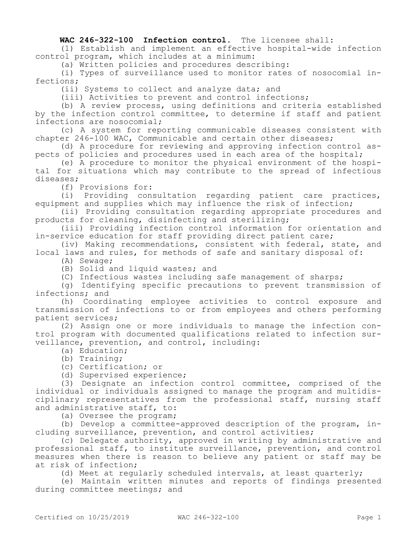## **WAC 246-322-100 Infection control.** The licensee shall:

(1) Establish and implement an effective hospital-wide infection control program, which includes at a minimum:

(a) Written policies and procedures describing:

(i) Types of surveillance used to monitor rates of nosocomial infections;

(ii) Systems to collect and analyze data; and

(iii) Activities to prevent and control infections;

(b) A review process, using definitions and criteria established by the infection control committee, to determine if staff and patient infections are nosocomial;

(c) A system for reporting communicable diseases consistent with chapter 246-100 WAC, Communicable and certain other diseases;

(d) A procedure for reviewing and approving infection control aspects of policies and procedures used in each area of the hospital;

(e) A procedure to monitor the physical environment of the hospital for situations which may contribute to the spread of infectious diseases;

(f) Provisions for:

(i) Providing consultation regarding patient care practices, equipment and supplies which may influence the risk of infection;

(ii) Providing consultation regarding appropriate procedures and products for cleaning, disinfecting and sterilizing;

(iii) Providing infection control information for orientation and in-service education for staff providing direct patient care;

(iv) Making recommendations, consistent with federal, state, and local laws and rules, for methods of safe and sanitary disposal of:

(A) Sewage;

(B) Solid and liquid wastes; and

(C) Infectious wastes including safe management of sharps;

(g) Identifying specific precautions to prevent transmission of infections; and

(h) Coordinating employee activities to control exposure and transmission of infections to or from employees and others performing patient services;

(2) Assign one or more individuals to manage the infection control program with documented qualifications related to infection surveillance, prevention, and control, including:

(a) Education;

(b) Training;

(c) Certification; or

(d) Supervised experience;

(3) Designate an infection control committee, comprised of the individual or individuals assigned to manage the program and multidisciplinary representatives from the professional staff, nursing staff and administrative staff, to:

(a) Oversee the program;

(b) Develop a committee-approved description of the program, including surveillance, prevention, and control activities;

(c) Delegate authority, approved in writing by administrative and professional staff, to institute surveillance, prevention, and control measures when there is reason to believe any patient or staff may be at risk of infection;

(d) Meet at regularly scheduled intervals, at least quarterly;

(e) Maintain written minutes and reports of findings presented during committee meetings; and